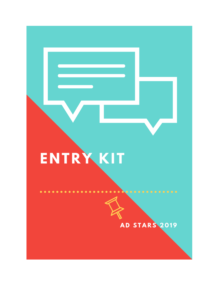# ENTRYKIT

# AD STARS 2019

 $\bullet$   $\bullet$   $\bullet$   $\bullet$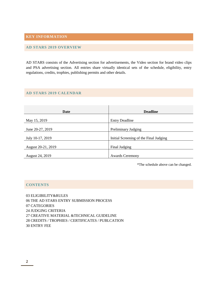# **KEY INFORMATION**

# **AD STARS 2019 OVERVIEW**

AD STARS consists of the Advertising section for advertisements, the Video section for brand video clips and PSA advertising section. All entries share virtually identical sets of the schedule, eligibility, entry regulations, credits, trophies, publishing permits and other details.

# **AD STARS 2019 CALENDAR**

| Date               | <b>Deadline</b>                        |
|--------------------|----------------------------------------|
|                    |                                        |
| May 15, 2019       | <b>Entry Deadline</b>                  |
|                    |                                        |
| June 20-27, 2019   | Preliminary Judging                    |
|                    |                                        |
| July 10-17, 2019   | Initial Screening of the Final Judging |
|                    |                                        |
| August 20-21, 2019 | Final Judging                          |
|                    |                                        |
| August 24, 2019    | <b>Awards Ceremony</b>                 |

\*The schedule above can be changed.

# **CONTENTS**

 ELIGIBILITY&RULES THE AD STARS ENTRY SUBMISSION PROCESS 07 CATEGORIES JUDGING CRITERIA CREATIVE MATERIAL &TECHNICAL GUIDELINE CREDITS / TROPHIES / CERTIFICATES / PUBLCATION 30 ENTRY FEE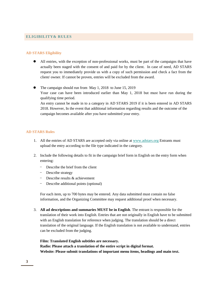# **ELIGIBILITY& RULES**

# **AD STARS Eligibility**

- All entries, with the exception of non-professional works, must be part of the campaigns that have actually been staged with the consent of and paid for by the client. In case of need, AD STARS request you to immediately provide us with a copy of such permission and check a fact from the client/ owner. If cannot be proven, entries will be excluded from the award.
- The campaign should run from May 1, 2018 to June 15, 2019 Your case can have been introduced earlier than May 1, 2018 but must have run during the qualifying time period. An entry cannot be made in to a category in AD STARS 2019 if it is been entered in AD STARS 2018. However, In the event that additional information regarding results and the outcome of the campaign becomes available after you have submitted your entry.

# **AD STARS Rules**

- 1. All the entries of AD STARS are accepted only via online a[t www.adstars.org](http://www.adstars.org/) Entrants must upload the entry according to the file type indicated in the category.
- 2. Include the following details to fit in the campaign brief form in English on the entry form when entering:
	- Describe the brief from the client
	- Describe strategy
	- Describe results & achievement
	- Describe additional points (optional)

For each item, up to 700 bytes may be entered. Any data submitted must contain no false information, and the Organizing Committee may request additional proof when necessary.

3. **All ad descriptions and summaries MUST be in English**. The entrant is responsible for the translation of their work into English. Entries that are not originally in English have to be submitted with an English translation for reference when judging. The translation should be a direct translation of the original language. If the English translation is not available to understand, entries can be excluded from the judging.

**Film: Translated English subtitles are necessary. Radio: Please attach a translation of the entire script in digital format. Website: Please submit translations of important menu items, headings and main text.**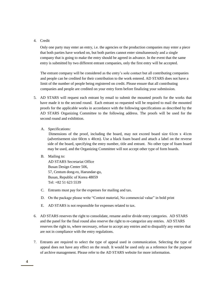# 4. Credit

Only one party may enter an entry, i.e. the agencies or the production companies may enter a piece that both parties have worked on, but both parties cannot enter simultaneously and a single company that is going to make the entry should be agreed in advance. In the event that the same entry is submitted by two different entrant companies, only the first entry will be accepted.

The entrant company will be considered as the entry's sole contact but all contributing companies and people can be credited for their contribution to the work entered. AD STARS does not have a limit of the number of people being registered on credit. Please ensure that all contributing companies and people are credited on your entry form before finalizing your submission.

- 5. AD STARS will request each entrant by email to submit the mounted proofs for the works that have made it to the second round. Each entrant so requested will be required to mail the mounted proofs for the applicable works in accordance with the following specifications as described by the AD STARS Organizing Committee to the following address. The proofs will be used for the second round and exhibition.
	- A. Specifications:

Dimensions of the proof, including the board, may not exceed board size 61cm x 41cm (advertisement size 60cm x 40cm). Use a black foam board and attach a label on the reverse side of the board, specifying the entry number, title and entrant. No other type of foam board may be used, and the Organizing Committee will not accept other type of form boards.

B. Mailing to:

AD STARS Secretariat Office Busan Design Center 506, 57, Centum dong-ro, Haeundae-gu, Busan, Republic of Korea 48059 Tel: +82 51 623 5539

- C. Entrants must pay for the expenses for mailing and tax.
- D. On the package please write "Contest material, No commercial value" in bold print
- E. AD STARS is not responsible for expenses related to tax.
- 6. AD STARS reserves the right to consolidate, rename and/or divide entry categories. AD STARS and the panel for the final round also reserve the right to re-categorize any entries. AD STARS reserves the right to, where necessary, refuse to accept any entries and to disqualify any entries that are not in compliance with the entry regulations.
- 7. Entrants are required to select the type of appeal used in communication. Selecting the type of appeal does not have any effect on the result. It would be used only as a reference for the purpose of archive management. Please refer to the AD STARS website for more information.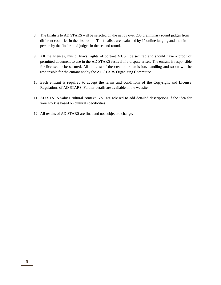- 8. The finalists to AD STARS will be selected on the net by over 200 preliminary round judges from different countries in the first round. The finalists are evaluated by  $1<sup>st</sup>$  online judging and then in person by the final round judges in the second round.
- 9. All the licenses, music, lyrics, rights of portrait MUST be secured and should have a proof of permitted document to use in the AD STARS festival if a dispute arises. The entrant is responsible for licenses to be secured. All the cost of the creation, submission, handling and so on will be responsible for the entrant not by the AD STARS Organizing Committee
- 10. Each entrant is required to accept the terms and conditions of the Copyright and License Regulations of AD STARS. Further details are available in the website.
- 11. AD STARS values cultural context. You are advised to add detailed descriptions if the idea for your work is based on cultural specificities

.

12. All results of AD STARS are final and not subject to change.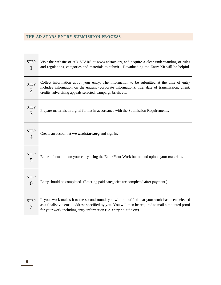# **THE AD STARS ENTRY SUBMISSION PROCESS**

| <b>STEP</b><br>1              | Visit the website of AD STARS at www.adstars.org and acquire a clear understanding of rules<br>and regulations, categories and materials to submit. Downloading the Entry Kit will be helpful.                                                                                   |
|-------------------------------|----------------------------------------------------------------------------------------------------------------------------------------------------------------------------------------------------------------------------------------------------------------------------------|
| <b>STEP</b><br>$\overline{2}$ | Collect information about your entry. The information to be submitted at the time of entry<br>includes information on the entrant (corporate information), title, date of transmission, client,<br>credits, advertising appeals selected, campaign briefs etc.                   |
| <b>STEP</b><br>3              | Prepare materials in digital format in accordance with the Submission Requirements.                                                                                                                                                                                              |
| <b>STEP</b><br>4              | Create an account at www.adstars.org and sign in.                                                                                                                                                                                                                                |
| <b>STEP</b><br>5              | Enter information on your entry using the Enter Your Work button and upload your materials.                                                                                                                                                                                      |
| <b>STEP</b><br>6              | Entry should be completed. (Entering paid categories are completed after payment.)                                                                                                                                                                                               |
| <b>STEP</b><br>7              | If your work makes it to the second round, you will be notified that your work has been selected<br>as a finalist via email address specified by you. You will then be required to mail a mounted proof<br>for your work including entry information (i.e. entry no, title etc). |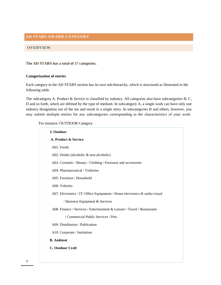# **AD STARS AWARD CATEGORY**

# **OVERVIEW**

# **The AD STARS has a total of 17 categories.**

# **Categorization of entries**

Each category in the AD STARS section has its own sub-hierarchy, which is structured as illustrated in the following table.

The subcategory A. Product & Service is classified by industry. All categories also have subcategories B, C, D and so forth, which are defined by the type of medium. In subcategory A, a single work can have only one industry designation out of the ten and result in a single entry. In subcategories B and others, however, you may submit multiple entries for any subcategories corresponding to the characteristics of your work.

# For instance: OUTDOOR Category

| 3. Outdoor                                                                 |
|----------------------------------------------------------------------------|
| A. Product & Service                                                       |
| A01. Foods                                                                 |
| A02. Drinks (alcoholic $\&$ non-alcoholic)                                 |
| A03. Cosmetic / Beauty / Clothing / Footwear and accessories               |
| A04. Pharmaceutical / Toiletries                                           |
| A05. Furniture / Household                                                 |
| A06. Vehicles                                                              |
| A07. Electronics / IT/ Office Equipments / Home electronics & audio-visual |
| / Business Equipment & Services                                            |
| A08. Finance / Services / Entertainment & Leisure / Travel / Restaurants   |
| / Commercial Public Services / Pets                                        |
| A09. Distribution / Publication                                            |
| A10. Corporate / Institution                                               |
| <b>B.</b> Ambient                                                          |
| <b>C. Outdoor Craft</b>                                                    |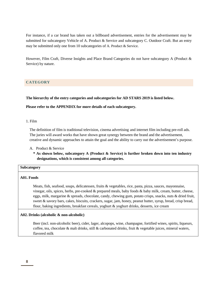For instance, if a car brand has taken out a billboard advertisement, entries for the advertisement may be submitted for subcategory Vehicle of A. Product & Service and subcategory C. Outdoor Craft. But an entry may be submitted only one from 10 subcategories of A. Product & Service.

However, Film Craft, Diverse Insights and Place Brand Categories do not have subcategory A (Product & Service) by nature.

# **CATEGORY**

**The hierarchy of the entry categories and subcategories for AD STARS 2019 is listed below.**

# **Please refer to the APPENDIX for more details of each subcategory.**

# 1. Film

The definition of film is traditional television, cinema advertising and internet film including pre-roll ads. The juries will award works that have shown great synergy between the brand and the advertisement, creative and dynamic approaches to attain the goal and the ability to carry out the advertisement's purpose.

- A. Product & Service
	- **\* As shown below, subcategory A (Product & Service) is further broken down into ten industry designations, which is consistent among all categories.**

# **Subcategory**

#### **A01. Foods**

Meats, fish, seafood, soups, delicatessen, fruits & vegetables, rice, pasta, pizza, sauces, mayonnaise, vinegar, oils, spices, herbs, pre-cooked  $\&$  prepared meals, baby foods  $\&$  baby milk, cream, butter, cheese, eggs, milk, margarine & spreads, chocolate, candy, chewing gum, potato crisps, snacks, nuts & dried fruit, sweet & savory bars, cakes, biscuits, crackers, sugar, jam, honey, peanut butter, syrup, bread, crisp bread, flour, baking ingredients, breakfast cereals, yoghurt & yoghurt drinks, desserts, ice cream

#### **A02. Drinks (alcoholic & non-alcoholic)**

Beer (incl. non-alcoholic beer), cider, lager, alcopops, wine, champagne, fortified wines, spirits, liqueurs, coffee, tea, chocolate & malt drinks, still & carbonated drinks, fruit & vegetable juices, mineral waters, flavored milk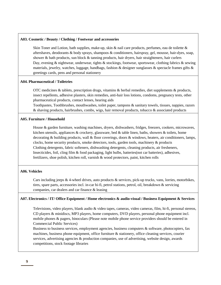#### **A03. Cosmetic / Beauty / Clothing / Footwear and accessories**

Skin Toner and Lotion, bath supplies, make-up, skin & nail care products, perfumes, eau de toilette & aftershaves, deodorants & body sprays, shampoos & conditioners, hairspray, gel, mousse, hair-dyes, soap, shower & bath products, sun block  $&$  tanning products, hair dryers, hair straighteners, hair curlers Day, evening & nightwear, underwear, tights & stockings, footwear, sportswear, clothing fabrics & sewing materials, jewelry, watches, luggage, handbags, fashion & designer sunglasses & spectacle frames gifts  $\&$ greetings cards, pens and personal stationery

#### **A04. Pharmaceutical / Toiletries**

OTC medicines & tablets, prescription drugs, vitamins & herbal remedies, diet supplements & products, insect repellents, adhesive plasters, skin remedies, anti-hair loss lotions, condoms, pregnancy tests, other pharmaceutical products, contact lenses, hearing aids

Toothpastes, Toothbrushes, mouthwashes, toilet paper, tampons & sanitary towels, tissues, nappies, razors  $\&$  shaving products, hairbrushes, combs, wigs, hair removal products, tobacco  $\&$  associated products

# **A05. Furniture / Household**

House & garden furniture, washing machines, dryers, dishwashers, fridges, freezers, cookers, microwaves, kitchen utensils, appliances & crockery, glassware, bed & table linen, baths, showers & toilets, home decorating & building products, wall & floor coverings, doors & windows, heaters, air conditioners, lamps, clocks, home security products, smoke detectors, tools, garden tools, machinery & products Clothing detergents, fabric softeners, dishwashing detergents, cleaning products, air fresheners, Insecticides, foil, cling film & food packaging, light bulbs, batteries(not car batteries), adhesives, fertilizers, shoe polish, kitchen roll, varnish & wood protectors, paint, kitchen rolls

#### **A06. Vehicles**

Cars including jeeps & 4-wheel drives, auto products & services, pick-up trucks, vans, lorries, motorbikes, tires, spare parts, accessories incl. in-car hi-fi, petrol stations, petrol, oil, breakdown & servicing companies, car dealers and car finance & leasing

# **A07. Electronics / IT/ Office Equipment / Home electronics & audio-visual / Business Equipment & Services**

Televisions, video players, blank audio & video tapes, cameras, video cameras, film, hi-fi, personal stereos, CD players & minidiscs, MP3 players, home computers, DVD players, personal phone equipment incl. mobile phones & pagers, binoculars (Please note mobile phone service providers should be entered in Commercial Public Services)

Business to business services, employment agencies, business computers & software, photocopiers, fax machines, business phone equipment, office furniture & stationery, office cleaning services, courier services, advertising agencies & production companies, use of advertising, website design, awards competitions, stock footage libraries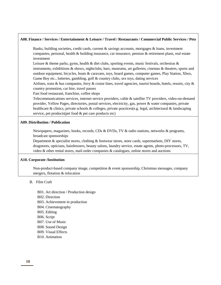#### **A08. Finance / Services / Entertainment & Leisure / Travel / Restaurants / Commercial Public Services / Pets**

Banks, building societies, credit cards, current & savings accounts, mortgages & loans, investment companies, personal, health & building insurance, car insurance, pension & retirement plans, real estate investment

Leisure & theme parks, gyms, health & diet clubs, sporting events, music festivals, orchestras & instruments, exhibitions & shows, nightclubs, bars, museums, art galleries, cinemas & theatres, sports and outdoor equipment, bicycles, boats & caravans, toys, board games, computer games, Play Station, Xbox, Game Boy etc., lotteries, gambling, golf & country clubs, sex toys, dating services

Airlines, train & bus companies, ferry & cruise lines, travel agencies, tourist boards, hotels, resorts, city  $\&$ country promotion, car hire, travel passes

Fast food restaurant, franchise, coffee shops

Telecommunications services, internet service providers, cable & satellite TV providers, video-on-demand provider, Yellow Pages, directories, postal services, electricity, gas, power & water companies, private healthcare & clinics, private schools & colleges, private practices(e.g. legal, architectural & landscaping service, pet products(pet food & pet care products etc)

#### **A09. Distribution / Publication**

Newspapers, magazines, books, records, CDs & DVDs, TV & radio stations, networks & programs, broadcast sponsorships

Department & specialist stores, clothing & footwear stores, store cards, supermarkets, DIY stores, drugstores, opticians, hairdressers, beauty salons, laundry service, estate agents, photo-processors, TV, video & other rental stores, mail-order companies & catalogues, online stores and auctions

# **A10. Corporate /Institution**

Non-product-based company image, competition & event sponsorship, Christmas messages, company mergers, flotation & relocation

# B. Film Craft

B01. Art direction / Production design B02. Direction B03. Achievement in production B04. Cinematography B05. Editing B06. Script B07. Use of Music B08. Sound Design B09. Visual Effects B10. Animation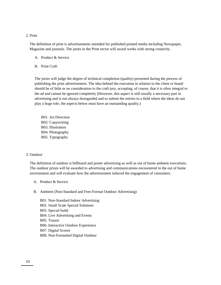# 2. Print

The definition of print is advertisements intended for published printed media including Newspaper, Magazine and journals. The juries in the Print sector will award works with strong creativity.

- A. Product & Service
- B. Print Craft

The juries will judge the degree of technical completion (quality) presented during the process of publishing the print advertisement. The idea behind the execution in relation to the client or brand should be of little or no consideration to the craft jury, accepting, of course, that it is often integral to the ad and cannot be ignored completely (However, this aspect is still usually a necessary part in advertising and is not always disregarded and to submit the entries to a field where the ideas do not play a huge role, the aspects below must have an outstanding quality.)

B01. Art Direction B02. Copywriting B03. Illustration B04. Photography B05. Typography

# 3. Outdoor

The definition of outdoor is billboard and poster advertising as well as out of home ambient executions. The outdoor prizes will be awarded to advertising and communications encountered in the out of home environment and will evaluate how the advertisement induced the engagement of consumers.

- A. Product & Service
- B. Ambient (Non-Standard and Free-Format Outdoor Advertising)
	- B01. Non-Standard Indoor Advertising B02. Small Scale Special Solutions B03. Special build B04. Live Advertising and Events B05. Transit B06. Interactive Outdoor Experience B07. Digital Screen B08. Non-Formatted Digital Outdoor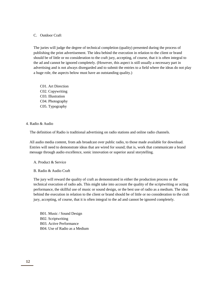# C. Outdoor Craft

The juries will judge the degree of technical completion (quality) presented during the process of publishing the print advertisement. The idea behind the execution in relation to the client or brand should be of little or no consideration to the craft jury, accepting, of course, that it is often integral to the ad and cannot be ignored completely. (However, this aspect is still usually a necessary part in advertising and is not always disregarded and to submit the entries to a field where the ideas do not play a huge role, the aspects below must have an outstanding quality.)

C01. Art Direction C02. Copywriting C03. Illustration C04. Photography C05. Typography

4. Radio & Audio

The definition of Radio is traditional advertising on radio stations and online radio channels.

All audio media content, from ads broadcast over public radio, to those made available for download. Entries will need to demonstrate ideas that are wired for sound; that is, work that communicate a brand message through audio excellence, sonic innovation or superior aural storytelling.

A. Product & Service

B. Radio & Audio Craft

The jury will reward the quality of craft as demonstrated in either the production process or the technical execution of radio ads. This might take into account the quality of the scriptwriting or acting performance, the skillful use of music or sound design, or the best use of radio as a medium. The idea behind the execution in relation to the client or brand should be of little or no consideration to the craft jury, accepting, of course, that it is often integral to the ad and cannot be ignored completely.

B01. Music / Sound Design B02. Scriptwriting B03. Active Performance B04. Use of Radio as a Medium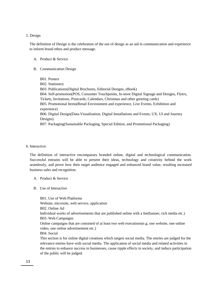#### 5. Design

The definition of Design is the celebration of the use of design as an aid in communication and experience to inform brand ethos and product message.

#### A. Product & Service

B. Communication Design

B01. Posters B02. Stationery B03. Publications(Digital Brochures, Editorial Designs, eBook) B04. Self-promotion(POS, Consumer Touchpoints, In-store Digital Signage and Designs, Flyers, Tickets, Invitations, Postcards, Calendars, Christmas and other greeting cards) B05. Promotional Items(Retail Environment and experience, Live Events, Exhibition and experience) B06. Digital Design(Data-Visualisation, Digital Installations and Events, UX, UI and Journey Designs) B07. Packaging(Sustainable Packaging, Special Edition, and Promotional Packaging)

#### 6. Interactive

The definition of interactive encompasses branded online, digital and technological communication. Successful entrants will be able to present their ideas, technology and creativity behind the work seamlessly, and prove how their target audience engaged and enhanced brand value, resulting increased business sales and recognition.

- A. Product & Service
- B. Use of Interactive

of the public will be judged.

B01. Use of Web Platforms Website, microsite, web service, application B02. Online Ad Individual works of advertisements that are published online with a fee(banner, rich media etc.) B03. Web Campaigns Online campaigns that are consisted of at least two web executions(e.g. one website, one online video, one online advertisement etc.) B04. Social This section is for online digital creations which targets social media. The entries are judged for the relevance entries have with social media. The application of social media and related activities in

the entries to enhance success in businesses, cause ripple effects in society, and induce participation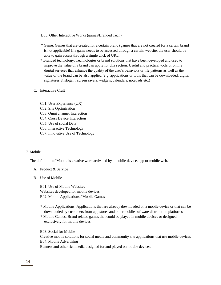B05. Other Interactive Works (games/Branded Tech)

- \* Game: Games that are created for a certain brand (games that are not created for a certain brand is not applicable) If a game needs to be accessed through a certain website, the user should be able to gain access through a single click of URL.
- \* Branded technology: Technologies or brand solutions that have been developed and used to improve the value of a brand can apply for this section. Useful and practical tools or online digital services that enhance the quality of the user's behaviors or life patterns as well as the value of the brand can be also applied.(e.g. applications or tools that can be downloaded, digital signatures & slogan , screen savers, widgets, calendars, notepads etc.)
- C. Interactive Craft
	- C01. User Experience (UX)
	- C02. Site Optimization
	- C03. Omni channel Interaction
	- C04. Cross Device Interaction
	- C05. Use of social Data
	- C06. Interactive Technology
	- C07. Innovative Use of Technology

#### 7. Mobile

The definition of Mobile is creative work activated by a mobile device, app or mobile web.

- A. Product & Service
- B. Use of Mobile

B01. Use of Mobile Websites Websites developed for mobile devices B02. Mobile Applications / Mobile Games

- \* Mobile Applications: Applications that are already downloaded on a mobile device or that can be downloaded by customers from app stores and other mobile software distribution platforms
- \* Mobile Games: Brand related games that could be played in mobile devices or designed exclusively for mobile devices

B03. Social for Mobile Creative mobile solutions for social media and community site applications that use mobile devices B04. Mobile Advertising Banners and other rich media designed for and played on mobile devices.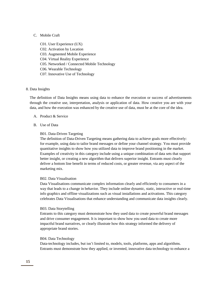# C. Mobile Craft

C01. User Experience (UX) C02. Activation by Location C03. Augmented Mobile Experience C04. Virtual Reality Experience C05. Networked / Connected Mobile Technology C06. Wearable Technology C07. Innovative Use of Technology

# 8. Data Insights

The definition of Data Insights means using data to enhance the execution or success of advertisements through the creative use, interpretation, analysis or application of data. How creative you are with your data, and how the execution was enhanced by the creative use of data, must be at the core of the idea.

#### A. Product & Service

B. Use of Data

#### B01. Data-Driven Targeting

The definition of Data-Driven Targeting means gathering data to achieve goals more effectively: for example, using data to tailor brand messages or define your channel strategy. You must provide quantitative insights to show how you utilized data to improve brand positioning in the market. Examples of creativity in this category include using a unique combination of data sets that support better insight, or creating a new algorithm that delivers superior insight. Entrants must clearly deliver a bottom line benefit in terms of reduced costs, or greater revenue, via any aspect of the marketing mix.

#### B02. Data Visualisation

Data Visualisations communicate complex information clearly and efficiently to consumers in a way that leads to a change in behavior. They include online dynamic, static, interactive or real-time info graphics and offline visualizations such as visual installations and activations. This category celebrates Data Visualisations that enhance understanding and communicate data insights clearly.

#### B03. Data Storytelling

Entrants to this category must demonstrate how they used data to create powerful brand messages and drive consumer engagement. It is important to show how you used data to create more impactful brand narratives, or clearly illustrate how this strategy informed the delivery of appropriate brand stories.

#### B04. Data Technology

Data-technology includes, but isn't limited to, models, tools, platforms, apps and algorithms. Entrants must demonstrate how they applied, or invented, innovative data technology to enhance a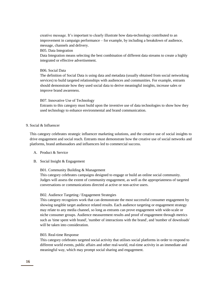creative message. It's important to clearly illustrate how data-technology contributed to an improvement in campaign performance – for example, by including a breakdown of audience, message, channels and delivery.

B05. Data Integration

Data Integration means selecting the best combination of different data streams to create a highly integrated or effective advertisement.

#### B06. Social Data

The definition of Social Data is using data and metadata (usually obtained from social networking services) to build targeted relationships with audiences and communities. For example, entrants should demonstrate how they used social data to derive meaningful insights, increase sales or improve brand awareness.

#### B07. Innovative Use of Technology

Entrants to this category must build upon the inventive use of data technologies to show how they used technology to enhance environmental and brand communication.

# 9. Social & Influencer

This category celebrates strategic influencer marketing solutions, and the creative use of social insights to drive engagement and social reach. Entrants must demonstrate how the creative use of social networks and platforms, brand ambassadors and influencers led to commercial success.

- A. Product & Service
- B. Social Insight & Engagement

# B01. Community Building & Management

This category celebrates campaigns designed to engage or build an online social community. Judges will assess the extent of community engagement, as well as the appropriateness of targeted conversations or communications directed at active or non-active users.

# B02. Audience Targeting / Engagement Strategies

This category recognizes work that can demonstrate the most successful consumer engagement by showing tangible target audience related results. Each audience targeting or engagement strategy may relate to any media channel, so long as entrants can prove engagement with wide-scale or niche consumer groups. Audience measurement results and proof of engagement through metrics such as 'time spent with brand', 'number of interactions with the brand', and 'number of downloads' will be taken into consideration.

# B03. Real-time Response

This category celebrates targeted social activity that utilises social platforms in order to respond to different world events, public affairs and other real-world, real-time activity in an immediate and meaningful way, which may prompt social sharing and engagement.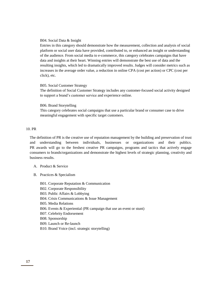#### B04. Social Data & Insight

Entries in this category should demonstrate how the measurement, collection and analysis of social platform or social user data have provided, contributed to, or enhanced an insight or understanding of the audience. From social media to e-commerce, this category celebrates campaigns that have data and insights at their heart. Winning entries will demonstrate the best use of data and the resulting insights, which led to dramatically improved results. Judges will consider metrics such as increases in the average order value, a reduction in online CPA (cost per action) or CPC (cost per click), etc.

#### B05. Social Customer Strategy

The definition of Social Customer Strategy includes any customer-focused social activity designed to support a brand's customer service and experience online.

#### B06. Brand Storytelling

This category celebrates social campaigns that use a particular brand or consumer case to drive meaningful engagement with specific target customers.

# 10. PR

The definition of PR is the creative use of reputation management by the building and preservation of trust and understanding between individuals, businesses or organizations and their publics. PR awards will go to the freshest creative PR campaigns, programs and tactics that actively engage consumers to brands/organizations and demonstrate the highest levels of strategic planning, creativity and business results.

#### A. Product & Service

- B. Practices & Specialism
	- B01. Corporate Reputation & Communication
	- B02. Corporate Responsibility
	- B03. Public Affairs & Lobbying
	- B04. Crisis Communications & Issue Management
	- B05. Media Relations
	- B06. Events & Experiential (PR campaign that use an event or stunt)
	- B07. Celebrity Endorsement
	- B08. Sponsorship
	- B09. Launch or Re-launch
	- B10. Brand Voice (incl. strategic storytelling)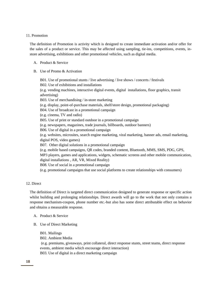#### 11. Promotion

The definition of Promotion is activity which is designed to create immediate activation and/or offer for the sales of a product or service. This may be affected using sampling, tie-ins, competitions, events, instore advertising, exhibitions and other promotional vehicles, such as digital media.

#### A. Product & Service

B. Use of Promo & Activation

B01. Use of promotional stunts / live advertising / live shows / concerts / festivals B02. Use of exhibitions and installations (e.g. vending machines, interactive digital events, digital installations, floor graphics, transit advertising) B03. Use of merchandising / in-store marketing (e.g. display, point-of-purchase materials, shelf/store design, promotional packaging) B04. Use of broadcast in a promotional campaign (e.g. cinema, TV and radio) B05. Use of print or standard outdoor in a promotional campaign (e.g. newspapers, magazines, trade journals, billboards, outdoor banners) B06. Use of digital in a promotional campaign (e.g. websites, microsites, search engine marketing, viral marketing, banner ads, email marketing, digital POS, video games) B07. Other digital solutions in a promotional campaign (e.g. mobile based campaigns, QR codes, branded content, Bluetooth, MMS, SMS, PDG, GPS, MP3 players, games and applications, widgets, schematic screens and other mobile communication, digital installations , AR, VR, Mixed Reality) B08. Use of social in a promotional campaign (e.g. promotional campaigns that use social platforms to create relationships with consumers)

#### 12. Direct

The definition of Direct is targeted direct communication designed to generate response or specific action whilst building and prolonging relationships. Direct awards will go to the work that not only contains a response mechanism-coupon, phone number etc.-but also has some direct attributable effect on behavior and obtains a measurable response.

- A. Product & Service
- B. Use of Direct Marketing
	- B01. Mailings
	- B02. Ambient Media

(e.g. premiums, giveaways, print collateral, direct response stunts, street teams, direct response events, ambient media which encourage direct interaction) B03. Use of digital in a direct marketing campaign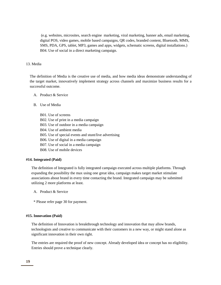(e.g. websites, microsites, search engine marketing, viral marketing, banner ads, email marketing, digital POS, video games, mobile based campaigns, QR codes, branded content, Bluetooth, MMS, SMS, PDA, GPS, tablet, MP3, games and apps, widgets, schematic screens, digital installations.) B04. Use of social in a direct marketing campaign.

# 13. Media

The definition of Media is the creative use of media, and how media ideas demonstrate understanding of the target market, innovatively implement strategy across channels and maximize business results for a successful outcome.

- A. Product & Service
- B. Use of Media
	- B01. Use of screens
	- B02. Use of print in a media campaign
	- B03. Use of outdoor in a media campaign
	- B04. Use of ambient media
	- B05. Use of special events and stunt/live advertising
	- B06. Use of digital in a media campaign
	- B07. Use of social in a media campaign
	- B08. Use of mobile devices

#### **#14. Integrated (Paid)**

The definition of Integrated is fully integrated campaign executed across multiple platforms. Through expanding the possibility the max using one great idea, campaign makes target market stimulate associations about brand in every time contacting the brand. Integrated campaign may be submitted utilizing 2 more platforms at least.

- A. Product & Service
- \* Please refer page 30 for payment.

# **#15. Innovation (Paid)**

The definition of Innovation is breakthrough technology and innovation that may allow brands, technologists and creative to communicate with their customers in a new way, or might stand alone as significant innovation in their own right.

The entries are required the proof of new concept. Already developed idea or concept has no eligibility. Entries should prove a technique clearly.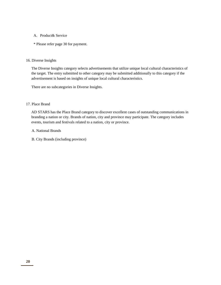- A. Product& Service
- \* Please refer page 30 for payment.

# 16. Diverse Insights

The Diverse Insights category selects advertisements that utilize unique local cultural characteristics of the target. The entry submitted to other category may be submitted additionally to this category if the advertisement is based on insights of unique local cultural characteristics.

There are no subcategories in Diverse Insights.

# 17. Place Brand

AD STARS has the Place Brand category to discover excellent cases of outstanding communications in branding a nation or city. Brands of nation, city and province may participate. The category includes events, tourism and festivals related to a nation, city or province.

- A. National Brands
- B. City Brands (including province)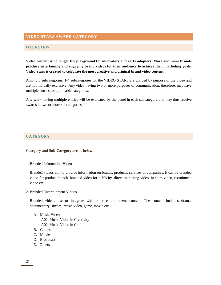# **VIDEO STARS AWARD CATEGORY**

# **OVERVIEW**

**Video content is no longer the playground for innovators and early adopters. More and more brands produce entertaining and engaging brand videos for their audience to achieve their marketing goals. Video Stars is created to celebrate the most creative and original brand video content.**

Among 5 subcategories, 1-4 subcategories for the VIDEO STARS are divided by purpose of the video and are not mutually exclusive. Any video having two or more purposes of communication, therefore, may have multiple entries for applicable categories.

Any work having multiple entries will be evaluated by the panel in each subcategory and may thus receive awards in two or more subcategories.

# **CATEGORY**

**Category and Sub-Category are as below.**

1. Branded Information Videos

Branded videos aim to provide information on brands, products, services or companies. It can be branded video for product launch, branded video for publicity, direct marketing video, in-store video, recruitment video etc.

2. Branded Entertainment Videos

Branded videos use or integrate with other entertainment content. The content includes drama, documentary, sitcom, music video, game, movie etc.

- A. Music Videos
	- A01. Music Video in Creativity A02. Music Video in Craft
- B. Games
- C. Movies
- D. Broadcast
- E. Others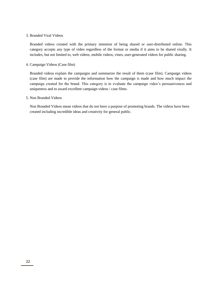# 3. Branded Viral Videos

Branded videos created with the primary intention of being shared or user-distributed online. This category accepts any type of video regardless of the format or media if it aims to be shared virally. It includes, but not limited to, web videos, mobile videos, vines, user-generated videos for public sharing.

#### 4. Campaign Videos (Case film)

Branded videos explain the campaigns and summarize the result of them (case film). Campaign videos (case film) are made to provide the information how the campaign is made and how much impact the campaign created for the brand. This category is to evaluate the campaign video's persuasiveness and uniqueness and to award excellent campaign videos / case films.

#### 5. Non Branded Videos

Non Branded Videos mean videos that do not have a purpose of promoting brands. The videos have been created including incredible ideas and creativity for general public.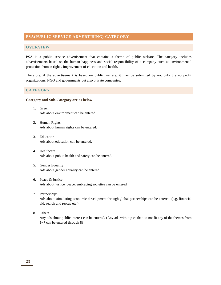# **PSA(PUBLIC SERVICE ADVERTISING) CATEGORY**

# **OVERVIEW**

PSA is a public service advertisement that contains a theme of public welfare. The category includes advertisements based on the human happiness and social responsibility of a company such as environmental protection, human rights, improvement of education and health.

Therefore, if the advertisement is based on public welfare, it may be submitted by not only the nonprofit organizations, NGO and governments but also private companies.

#### **CATEGORY**

#### **Category and Sub-Category are as below**

- 1. Green Ads about environment can be entered.
- 2. Human Rights Ads about human rights can be entered.
- 3. Education Ads about education can be entered.
- 4. Healthcare Ads about public health and safety can be entered.
- 5. Gender Equality Ads about gender equality can be entered
- 6. Peace & Justice Ads about justice, peace, embracing societies can be entered
- 7. Partnerships

Ads about stimulating economic development through global partnerships can be entered. (e.g. financial aid, search and rescue etc.)

8. Others

Any ads about public interest can be entered. (Any ads with topics that do not fit any of the themes from 1~7 can be entered through 8)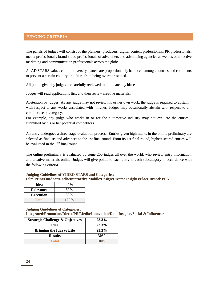# **JUDGING CRITERIA**

The panels of judges will consist of the planners, producers, digital content professionals, PR professionals, media professionals, brand video professionals of advertisers and advertising agencies as well as other active marketing and communication professionals across the globe.

As AD STARS values cultural diversity, panels are proportionately balanced among countries and continents to prevent a certain country or culture from being overrepresented.

All points given by judges are carefully reviewed to eliminate any biases.

Judges will read applications first and then review creative materials.

Abstention by judges: As any judge may not review his or her own work, the judge is required to abstain with respect to any works associated with him/her. Judges may occasionally abstain with respect to a certain case or category.

For example, any judge who works in or for the automotive industry may not evaluate the entries submitted by his or her potential competitors.

An entry undergoes a three-stage evaluation process. Entries given high marks in the online preliminary are selected as finalists and advances to the 1st final round. From its 1st final round, highest scored entries will be evaluated in the  $2<sup>nd</sup>$  final round.

The online preliminary is evaluated by some 200 judges all over the world, who review entry information and creative materials online. Judges will give points to each entry in each subcategory in accordance with the following criteria.

# **Judging Guidelines of VIDEO STARS and Categories; Film/Print/Outdoor/Radio/Interactive/Mobile/Design/Diverse Insights/Place Brand/ PSA**

| Idea             | 40%     |
|------------------|---------|
| <b>Relevance</b> | 30%     |
| <b>Execution</b> | 30%     |
| Total            | $100\%$ |

**Judging Guidelines of Categories; Integrated/Promotion/Direct/PR/Media/Innovation/Data Insights/Social & Influencer**

| <b>Strategic Challenge &amp; Objectives</b> | 23.3%   |
|---------------------------------------------|---------|
| Idea                                        | 23.3%   |
| <b>Bringing the Idea to Life</b>            | 23.3%   |
| <b>Results</b>                              | 30%     |
| <b>Total</b>                                | $100\%$ |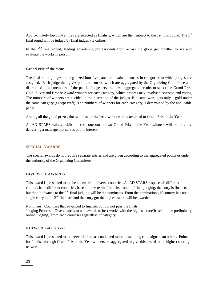Approximately top 15% entries are selected as finalists, which are then subject to the 1st final round. The 1st final round will be judged by final judges via online.

In the  $2<sup>nd</sup>$  final round, leading advertising professionals from across the globe get together to see and evaluate the works in person.

#### **Grand Prix of the Year**

The final round judges are organized into five panels to evaluate entries in categories to which judges are assigned. Each judge then gives points to entries, which are aggregated by the Organizing Committee and distributed to all members of the panel. Judges review these aggregated results to select the Grand Prix, Gold, Silver and Bronze Award winners for each category, which process may involve discussion and voting. The numbers of winners are decided at the discretion of the judges. But same work gets only 1 gold under the same category (except craft). The numbers of winners for each category is determined by the applicable panel.

Among all the grand prizes, the two 'best of the best' works will be awarded to Grand Prix of the Year

As AD STARS values public interest, one out of two Grand Prix of the Year winners will be an entry delivering a message that serves public interest.

# **SPECIAL AWARDS**

The special awards do not require separate entries and are given according to the aggregated points or under the authority of the Organizing Committee.

# **DIVERSITY AWARDS**

This award is presented to the best ideas from diverse countries. As AD STARS respects all different cultures from different countries, based on the result from first round of final judging, the entry is finalists but didn't advance to the  $2<sup>nd</sup>$  final judging will be the nominates. From the nominations, if country has not a single entry in the  $2<sup>nd</sup>$  finalists, and the entry got the highest score will be awarded.

Nominees : Countries that advanced to finalists but did not pass the finals Judging Process : Give chances to win awards to best works with the highest score(based on the preliminary online judging) from each countries regardless of category

# **NETWORK of the Year**

This award is presented to the network that has conducted more outstanding campaigns than others. Points for finalists through Grand Prix of the Year winners are aggregated to give this award to the highest scoring network.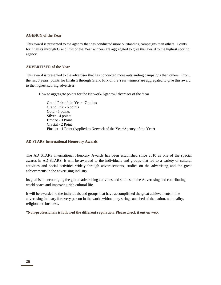# **AGENCY of the Year**

This award is presented to the agency that has conducted more outstanding campaigns than others. Points for finalists through Grand Prix of the Year winners are aggregated to give this award to the highest scoring agency.

# **ADVERTISER of the Year**

This award is presented to the advertiser that has conducted more outstanding campaigns than others. From the last 3 years, points for finalists through Grand Prix of the Year winners are aggregated to give this award to the highest scoring advertiser.

How to aggregate points for the Network/Agency/Advertiser of the Year

Grand Prix of the Year - 7 points Grand Prix - 6 points Gold - 5 points Silver - 4 points Bronze - 3 Point Crystal - 2 Point Finalist - 1 Point (Applied to Network of the Year/Agency of the Year)

# **AD STARS International Honorary Awards**

The AD STARS International Honorary Awards has been established since 2010 as one of the special awards in AD STARS. It will be awarded to the individuals and groups that led to a variety of cultural activities and social activities widely through advertisements, studies on the advertising and the great achievements in the advertising industry.

Its goal is to encouraging the global advertising activities and studies on the Advertising and contributing world peace and improving rich cultural life.

It will be awarded to the individuals and groups that have accomplished the great achievements in the advertising industry for every person in the world without any strings attached of the nation, nationality, religion and business.

**\*Non-professionals is followed the different regulation. Please check it out on web.**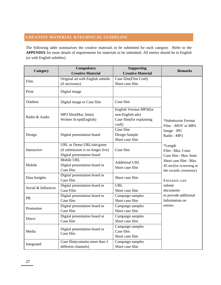# **CREATIVE MATERIAL &TECHNICAL GUIDELINE**

The following table summarizes the creative materials to be submitted for each category. Refer to the **APPENDIX** for more details of requirements for materials to be submitted. All entries should be in English (or with English subtitles).

| Category            | <b>Compulsory</b><br><b>Creative Material</b>                                                | <b>Supporting</b><br><b>Creative Material</b>                                     | <b>Remarks</b>                                                                                                                                             |
|---------------------|----------------------------------------------------------------------------------------------|-----------------------------------------------------------------------------------|------------------------------------------------------------------------------------------------------------------------------------------------------------|
|                     | Original ad with English subtitle                                                            | Case film(Film Craft)                                                             |                                                                                                                                                            |
| Film                | (if necessary)                                                                               | Short case film                                                                   |                                                                                                                                                            |
| Print               | Digital image                                                                                |                                                                                   |                                                                                                                                                            |
| Outdoor             | Digital image or Case film                                                                   | Case film                                                                         |                                                                                                                                                            |
| Radio & Audio       | MP3 files(Max 3min)<br>Written Script(English)                                               | English Version MP3(for<br>non-English ads)<br>Case film(for explaining<br>craft) | *Submission Format<br>Film: .MOV or MP4                                                                                                                    |
| Design              | Digital presentation board                                                                   | Case film<br>Design Sample<br>Short case film                                     | Image: JPG<br>Radio: MP3<br>*Length<br>Film: Max 3 min<br>Case film : Max 3min<br>Short case film : Max<br>45 sec(for screening at<br>the awards ceremony) |
| Interactive         | URL or Demo URL/site/game<br>(if submission is no longer live)<br>Digital presentation board | Case film                                                                         |                                                                                                                                                            |
| Mobile              | Mobile URL<br>Digital presentation board or<br>Case film                                     | <b>Additional URL</b><br>Short case film                                          |                                                                                                                                                            |
| Data Insights       | Digital presentation board or<br>Case film                                                   | Short case film                                                                   | Entrants can                                                                                                                                               |
| Social & Influencer | Digital presentation board or<br>Case Film                                                   | <b>URL</b><br>Short case film                                                     | submit<br>documents<br>to provide additional<br>Information on                                                                                             |
| PR                  | Digital presentation board or<br>Case film                                                   | Campaign samples<br>Short case film                                               |                                                                                                                                                            |
| Promotion           | Digital presentation board or<br>Case film                                                   | Campaign samples<br>Short case film                                               | entries                                                                                                                                                    |
| Direct              | Digital presentation board or<br>Case film                                                   | Campaign samples<br>Short case film                                               |                                                                                                                                                            |
| Media               | Digital presentation board or<br>Case film                                                   | Campaign samples<br>Case film<br>Short case film                                  |                                                                                                                                                            |
| Integrated          | Case film(contains more than 2<br>different channels)                                        | Campaign samples<br>Short case film                                               |                                                                                                                                                            |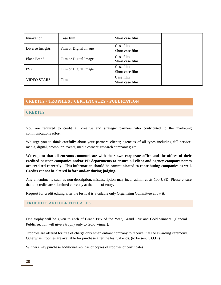| Innovation         | Case film             | Short case film              |  |
|--------------------|-----------------------|------------------------------|--|
| Diverse Insights   | Film or Digital Image | Case film<br>Short case film |  |
| Place Brand        | Film or Digital Image | Case film<br>Short case film |  |
| <b>PSA</b>         | Film or Digital Image | Case film<br>Short case film |  |
| <b>VIDEO STARS</b> | Film                  | Case film<br>Short case film |  |

# **CREDITS / TROPHIES / CERTIFICATES / PUBLICATION**

# **CREDITS**

You are required to credit all creative and strategic partners who contributed to the marketing communications effort.

We urge you to think carefully about your partners–clients; agencies of all types including full service, media, digital, promo, pr, events, media owners; research companies; etc.

**We request that all entrants communicate with their own corporate office and the offices of their credited partner companies and/or PR departments to ensure all client and agency company names are credited correctly. This information should be communicated to contributing companies as well. Credits cannot be altered before and/or during judging.** 

Any amendments such as non-description, misdescription may incur admin costs 100 USD. Please ensure that all credits are submitted correctly at the time of entry.

Request for credit editing after the festival is available only Organizing Committee allow it.

# **TROPHIES AND CERTIFICATES**

One trophy will be given to each of Grand Prix of the Year, Grand Prix and Gold winners. (General Public section will give a trophy only to Gold winner).

Trophies are offered for free of charge only when entrant company to receive it at the awarding ceremony. Otherwise, trophies are available for purchase after the festival ends. (to be sent C.O.D.)

Winners may purchase additional replicas or copies of trophies or certificates.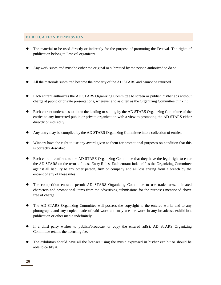# **PUBLICATION PERMISSION**

- The material to be used directly or indirectly for the purpose of promoting the Festival. The rights of publication belong to Festival organizers.
- Any work submitted must be either the original or submitted by the person authorized to do so.
- All the materials submitted become the property of the AD STARS and cannot be returned.
- Each entrant authorizes the AD STARS Organizing Committee to screen or publish his/her ads without charge at public or private presentations, wherever and as often as the Organizing Committee think fit.
- Each entrant undertakes to allow the lending or selling by the AD STARS Organizing Committee of the entries to any interested public or private organization with a view to promoting the AD STARS either directly or indirectly.
- Any entry may be compiled by the AD STARS Organizing Committee into a collection of entries.
- Winners have the right to use any award given to them for promotional purposes on condition that this is correctly described.
- Each entrant confirms to the AD STARS Organizing Committee that they have the legal right to enter the AD STARS on the terms of these Entry Rules. Each entrant indemnifies the Organizing Committee against all liability to any other person, firm or company and all loss arising from a breach by the entrant of any of these rules.
- The competition entrants permit AD STARS Organizing Committee to use trademarks, animated characters and promotional items from the advertising submissions for the purposes mentioned above free of charge.
- The AD STARS Organizing Committee will possess the copyright to the entered works and to any photographs and any copies made of said work and may use the work in any broadcast, exhibition, publication or other media indefinitely.
- If a third party wishes to publish/broadcast or copy the entered ad(s), AD STARS Organizing Committee retains the licensing fee.
- The exhibitors should have all the licenses using the music expressed in his/her exhibit or should be able to certify it.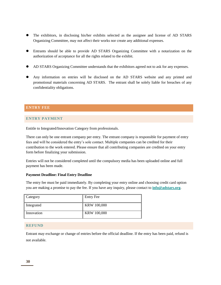- The exhibitors, in disclosing his/her exhibits selected as the assignee and license of AD STARS Organizing Committee, may not affect their works nor create any additional expenses.
- Entrants should be able to provide AD STARS Organizing Committee with a notarization on the authorization of acceptance for all the rights related to the exhibit.
- AD STARS Organizing Committee understands that the exhibitors agreed not to ask for any expenses.
- Any information on entries will be disclosed on the AD STARS website and any printed and promotional materials concerning AD STARS. The entrant shall be solely liable for breaches of any confidentiality obligations.

# **ENTRY FEE**

# **ENTRY PAYMENT**

Entitle to Integrated/Innovation Category from professionals.

There can only be one entrant company per entry. The entrant company is responsible for payment of entry fees and will be considered the entry's sole contact. Multiple companies can be credited for their contribution to the work entered. Please ensure that all contributing companies are credited on your entry form before finalizing your submission.

Entries will not be considered completed until the compulsory media has been uploaded online and full payment has been made.

#### **Payment Deadline: Final Entry Deadline**

The entry fee must be paid immediately. By completing your entry online and choosing credit card option you are making a promise to pay the fee. If you have any inquiry, please contact to **[info@adstars.org](mailto:info@adstars.org)**.

| Category   | <b>Entry Fee</b>   |
|------------|--------------------|
| Integrated | <b>KRW 100,000</b> |
| Innovation | <b>KRW 100,000</b> |

# **REFUND**

Entrant may exchange or change of entries before the official deadline. If the entry has been paid, refund is not available.